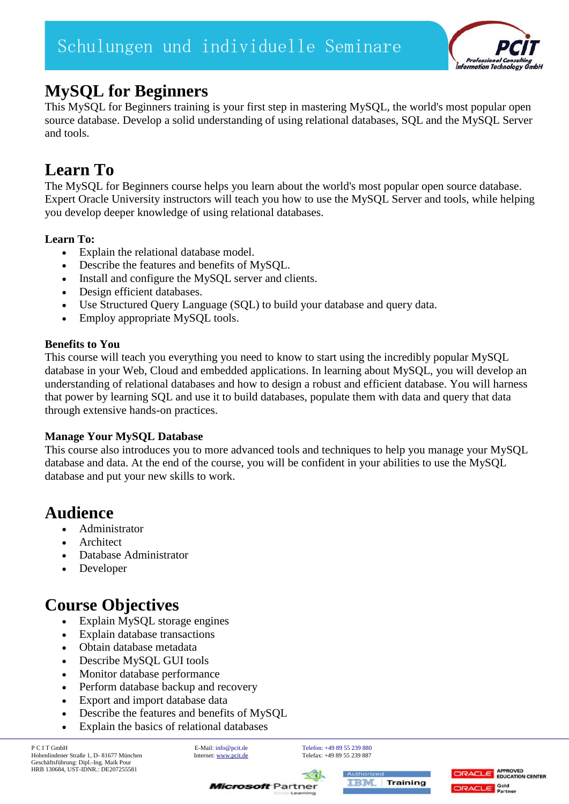

# **MySQL for Beginners**

This MySQL for Beginners training is your first step in mastering MySQL, the world's most popular open source database. Develop a solid understanding of using relational databases, SQL and the MySQL Server and tools.

# **Learn To**

The MySQL for Beginners course helps you learn about the world's most popular open source database. Expert Oracle University instructors will teach you how to use the MySQL Server and tools, while helping you develop deeper knowledge of using relational databases.

### **Learn To:**

- Explain the relational database model.
- Describe the features and benefits of MySQL.
- Install and configure the MySQL server and clients.
- Design efficient databases.
- Use Structured Query Language (SQL) to build your database and query data.
- Employ appropriate MySQL tools.

### **Benefits to You**

This course will teach you everything you need to know to start using the incredibly popular MySQL database in your Web, Cloud and embedded applications. In learning about MySQL, you will develop an understanding of relational databases and how to design a robust and efficient database. You will harness that power by learning SQL and use it to build databases, populate them with data and query that data through extensive hands-on practices.

## **Manage Your MySQL Database**

This course also introduces you to more advanced tools and techniques to help you manage your MySQL database and data. At the end of the course, you will be confident in your abilities to use the MySQL database and put your new skills to work.

# **Audience**

- Administrator
- Architect
- Database Administrator
- Developer

# **Course Objectives**

- Explain MySQL storage engines
- Explain database transactions
- Obtain database metadata
- Describe MySQL GUI tools
- Monitor database performance
- Perform database backup and recovery
- Export and import database data
- Describe the features and benefits of MySQL
- Explain the basics of relational databases

P C I T GmbH E-Mail[: info@pcit.de](mailto:info@pcit.de) [Telefon: +49 89 55 239 880](mailto:info@pcit.de) Hohenlindener Straße 1, D- 81677 München Geschäftsführung: Dipl.-Ing. Maik Pour HRB 130684, UST-IDNR.: DE207255581

**Microsoft** Partner





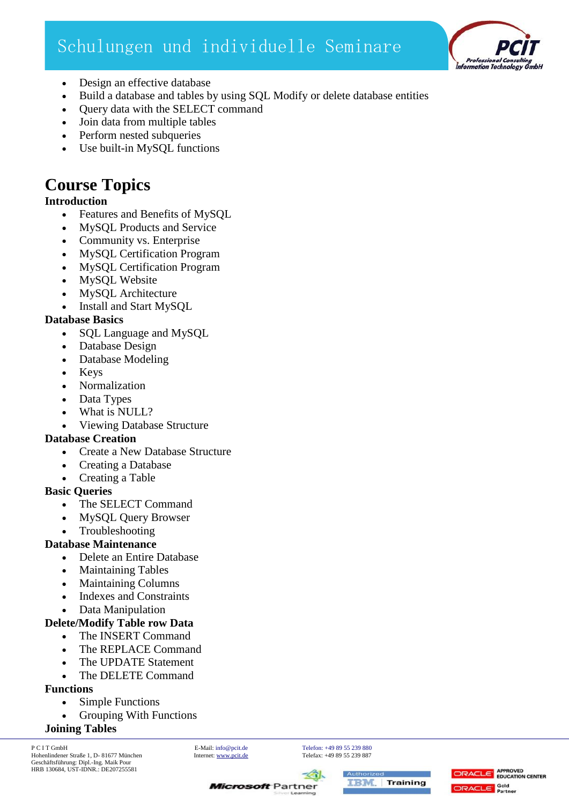# Schulungen und individuelle Seminare



- Design an effective database
- Build a database and tables by using SQL Modify or delete database entities
- Query data with the SELECT command
- Join data from multiple tables
- Perform nested subqueries
- Use built-in MySQL functions

# **Course Topics**

#### **Introduction**

- Features and Benefits of MySQL
- MySQL Products and Service
- Community vs. Enterprise
- MySQL Certification Program
- MySQL Certification Program
- MySQL Website
- MySQL Architecture
- Install and Start MySQL

#### **Database Basics**

- SQL Language and MySQL
- Database Design
- Database Modeling
- Keys
- Normalization
- Data Types
- What is NULL?
- Viewing Database Structure

#### **Database Creation**

- Create a New Database Structure
- Creating a Database
- Creating a Table

#### **Basic Queries**

- The SELECT Command
- MySQL Query Browser
- Troubleshooting

#### **Database Maintenance**

- Delete an Entire Database
- Maintaining Tables
- Maintaining Columns
- Indexes and Constraints
- Data Manipulation

#### **Delete/Modify Table row Data**

- The INSERT Command
- The REPLACE Command
- The UPDATE Statement
- The DELETE Command

# **Functions**

- Simple Functions
	- Grouping With Functions

## **Joining Tables**

P C I T GmbH E-Mail[: info@pcit.de](mailto:info@pcit.de) [Telefon: +49 89 55 239 880](mailto:info@pcit.de) Hohenlindener Straße 1, D- 81677 München Geschäftsführung: Dipl.-Ing. Maik Pour HRB 130684, UST-IDNR.: DE207255581

**Microsoft** Partner